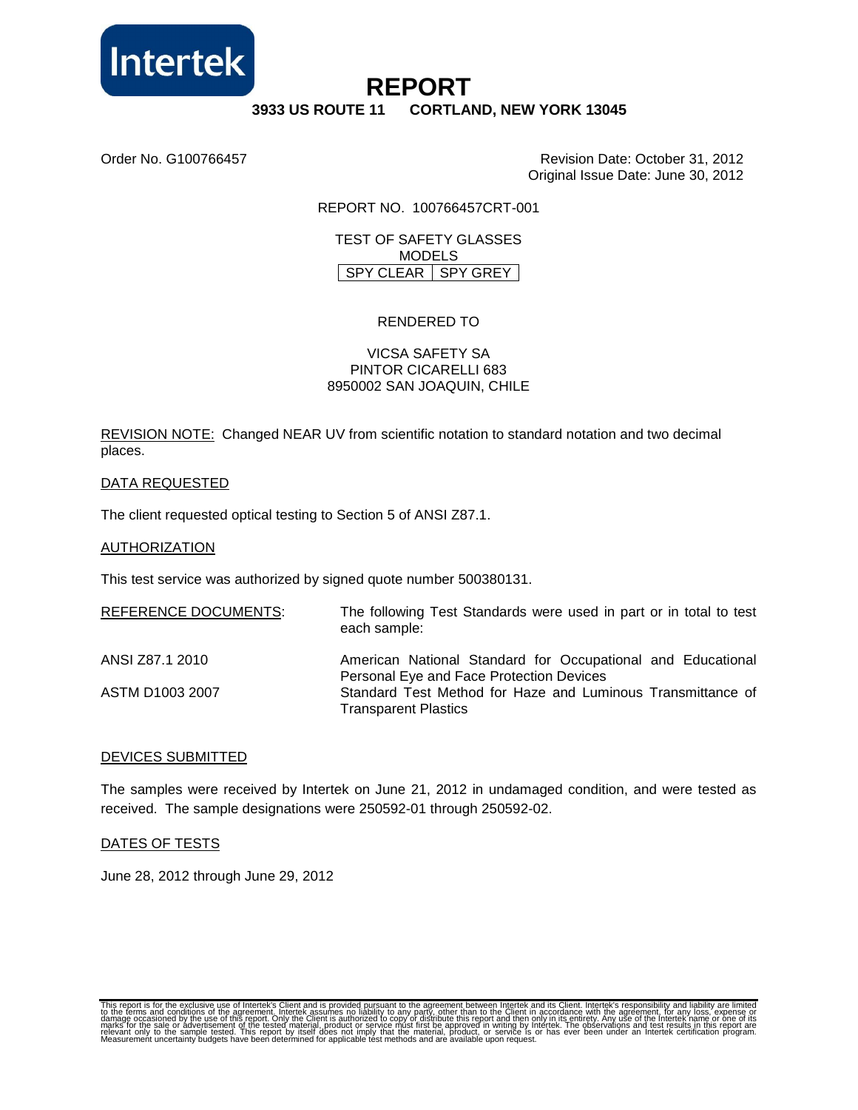

# **REPORT**

## **3933 US ROUTE 11 CORTLAND, NEW YORK 13045**

Order No. G100766457 Revision Date: October 31, 2012 Original Issue Date: June 30, 2012

REPORT NO. 100766457CRT-001

TEST OF SAFETY GLASSES MODELS SPY CLEAR SPY GREY

## RENDERED TO

#### VICSA SAFETY SA PINTOR CICARELLI 683 8950002 SAN JOAQUIN, CHILE

REVISION NOTE: Changed NEAR UV from scientific notation to standard notation and two decimal places.

#### DATA REQUESTED

The client requested optical testing to Section 5 of ANSI Z87.1.

#### **AUTHORIZATION**

This test service was authorized by signed quote number 500380131.

| <b>REFERENCE DOCUMENTS:</b> | The following Test Standards were used in part or in total to test<br>each sample:         |
|-----------------------------|--------------------------------------------------------------------------------------------|
| ANSI Z87.1 2010             | American National Standard for Occupational and Educational                                |
|                             | Personal Eye and Face Protection Devices                                                   |
| ASTM D1003 2007             | Standard Test Method for Haze and Luminous Transmittance of<br><b>Transparent Plastics</b> |

#### DEVICES SUBMITTED

The samples were received by Intertek on June 21, 2012 in undamaged condition, and were tested as received. The sample designations were 250592-01 through 250592-02.

#### DATES OF TESTS

June 28, 2012 through June 29, 2012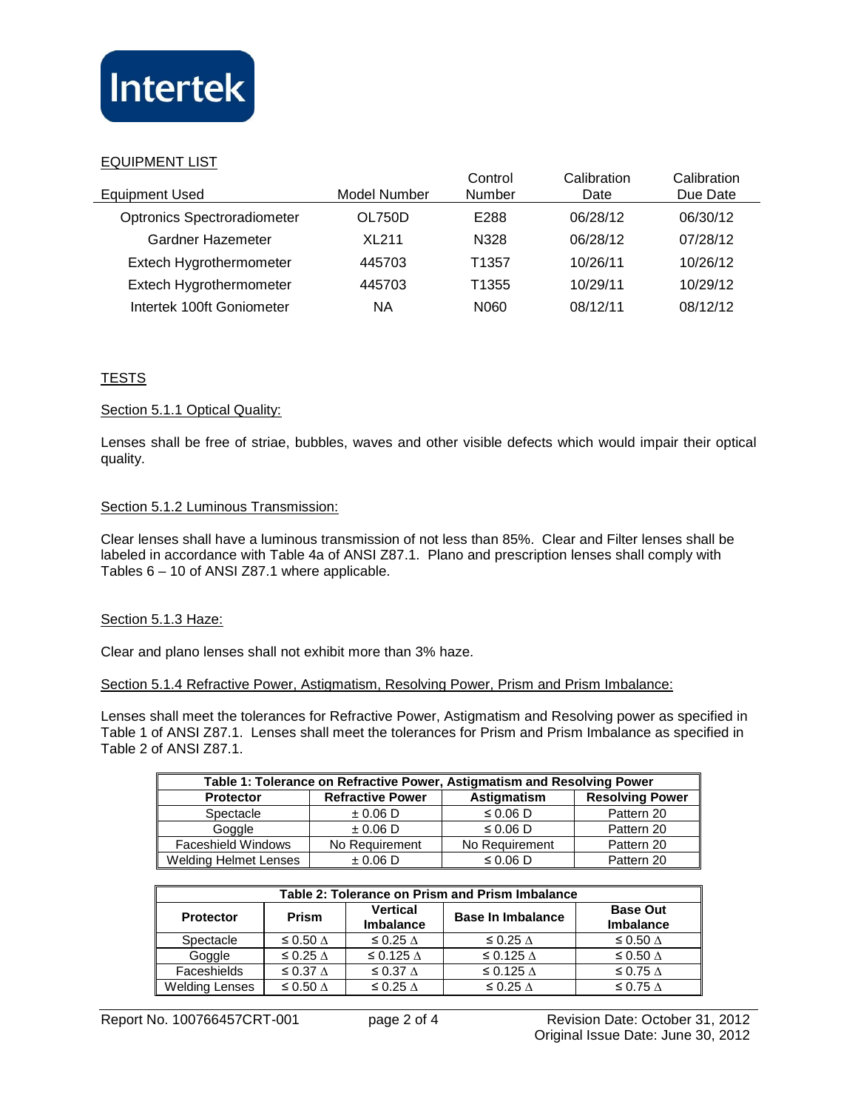

## EQUIPMENT LIST

| <b>Equipment Used</b>              | Model Number | Control<br>Number | Calibration<br>Date | Calibration<br>Due Date |
|------------------------------------|--------------|-------------------|---------------------|-------------------------|
| <b>Optronics Spectroradiometer</b> | OL750D       | E288              | 06/28/12            | 06/30/12                |
| Gardner Hazemeter                  | <b>XL211</b> | N328              | 06/28/12            | 07/28/12                |
| Extech Hygrothermometer            | 445703       | T <sub>1357</sub> | 10/26/11            | 10/26/12                |
| Extech Hygrothermometer            | 445703       | T <sub>1355</sub> | 10/29/11            | 10/29/12                |
| Intertek 100ft Goniometer          | ΝA           | N060              | 08/12/11            | 08/12/12                |

## **TESTS**

## Section 5.1.1 Optical Quality:

Lenses shall be free of striae, bubbles, waves and other visible defects which would impair their optical quality.

## Section 5.1.2 Luminous Transmission:

Clear lenses shall have a luminous transmission of not less than 85%. Clear and Filter lenses shall be labeled in accordance with Table 4a of ANSI Z87.1. Plano and prescription lenses shall comply with Tables 6 – 10 of ANSI Z87.1 where applicable.

#### Section 5.1.3 Haze:

Clear and plano lenses shall not exhibit more than 3% haze.

#### Section 5.1.4 Refractive Power, Astigmatism, Resolving Power, Prism and Prism Imbalance:

Lenses shall meet the tolerances for Refractive Power, Astigmatism and Resolving power as specified in Table 1 of ANSI Z87.1. Lenses shall meet the tolerances for Prism and Prism Imbalance as specified in Table 2 of ANSI Z87.1.

| Table 1: Tolerance on Refractive Power, Astigmatism and Resolving Power |                         |                |                        |  |  |  |  |
|-------------------------------------------------------------------------|-------------------------|----------------|------------------------|--|--|--|--|
| <b>Protector</b>                                                        | <b>Refractive Power</b> | Astigmatism    | <b>Resolving Power</b> |  |  |  |  |
| Spectacle                                                               | $\pm 0.06$ D            | $\leq 0.06$ D  | Pattern 20             |  |  |  |  |
| Goggle                                                                  | $\pm 0.06$ D            | $\leq 0.06$ D  | Pattern 20             |  |  |  |  |
| <b>Faceshield Windows</b>                                               | No Requirement          | No Requirement | Pattern 20             |  |  |  |  |
| <b>Welding Helmet Lenses</b>                                            | $\pm 0.06$ D            | $\leq 0.06$ D  | Pattern 20             |  |  |  |  |

| Table 2: Tolerance on Prism and Prism Imbalance |                         |                                     |                          |                                     |  |  |  |
|-------------------------------------------------|-------------------------|-------------------------------------|--------------------------|-------------------------------------|--|--|--|
| <b>Protector</b>                                | <b>Prism</b>            | <b>Vertical</b><br><b>Imbalance</b> | <b>Base In Imbalance</b> | <b>Base Out</b><br><b>Imbalance</b> |  |  |  |
| Spectacle                                       | ≤ 0.50 $\triangle$      | $\leq$ 0.25 $\triangle$             | ≤ 0.25 $\triangle$       | ≤ 0.50 $\triangle$                  |  |  |  |
| Goggle                                          | $\leq$ 0.25 $\triangle$ | $\leq$ 0.125 $\triangle$            | ≤ 0.125 $\triangle$      | ≤ 0.50 $\triangle$                  |  |  |  |
| Faceshields                                     | $\leq$ 0.37 $\triangle$ | $\leq$ 0.37 $\triangle$             | ≤ 0.125 $\triangle$      | ≤ 0.75 $\triangle$                  |  |  |  |
| Welding Lenses                                  | ≤ 0.50 $\triangle$      | $\leq$ 0.25 $\triangle$             | ≤ 0.25 $\triangle$       | ≤ 0.75 $\triangle$                  |  |  |  |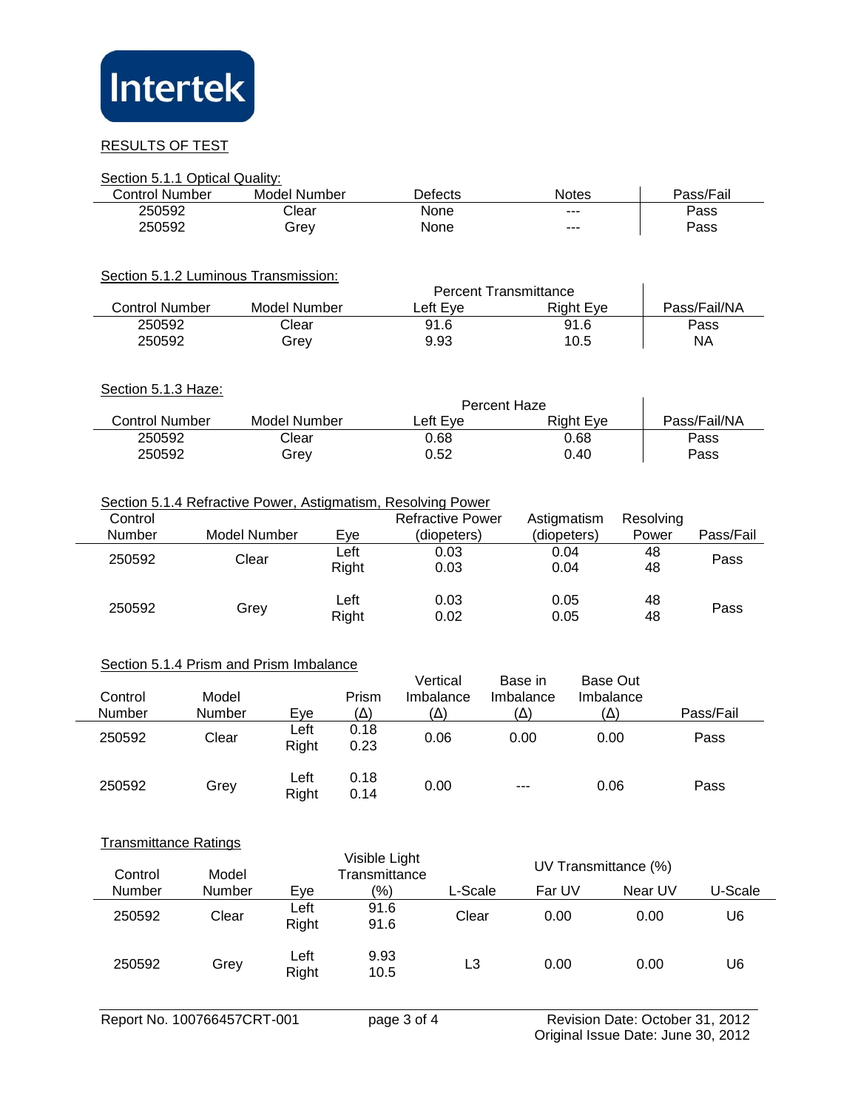

## RESULTS OF TEST

L,

 $\overline{a}$ 

|                              | Section 5.1.1 Optical Quality:                                                                                                                                                                        |                     |              |                     |              |                 |                  |              |           |  |
|------------------------------|-------------------------------------------------------------------------------------------------------------------------------------------------------------------------------------------------------|---------------------|--------------|---------------------|--------------|-----------------|------------------|--------------|-----------|--|
| <b>Control Number</b>        |                                                                                                                                                                                                       | <b>Model Number</b> |              |                     |              |                 | <b>Notes</b>     | Pass/Fail    |           |  |
| 250592                       |                                                                                                                                                                                                       | Clear               |              |                     |              |                 |                  | Pass         |           |  |
| 250592                       |                                                                                                                                                                                                       | Grey                |              | None                |              |                 |                  |              | Pass      |  |
|                              | Section 5.1.2 Luminous Transmission:<br><b>Percent Transmittance</b>                                                                                                                                  |                     |              |                     |              |                 |                  |              |           |  |
| <b>Control Number</b>        |                                                                                                                                                                                                       | <b>Model Number</b> |              | Left Eye            |              |                 | <b>Right Eye</b> | Pass/Fail/NA |           |  |
| 250592                       |                                                                                                                                                                                                       | Clear               |              | 91.6                | 91.6         |                 | Pass             |              |           |  |
| 250592                       |                                                                                                                                                                                                       | Grey                |              | 9.93                |              | 10.5            |                  |              | <b>NA</b> |  |
| Section 5.1.3 Haze:          |                                                                                                                                                                                                       |                     |              |                     | Percent Haze |                 |                  |              |           |  |
| <b>Control Number</b>        |                                                                                                                                                                                                       | <b>Model Number</b> |              | Left Eye            |              |                 | <b>Right Eye</b> | Pass/Fail/NA |           |  |
| 250592                       |                                                                                                                                                                                                       | Clear               |              | 0.68                |              | 0.68            |                  | Pass         |           |  |
| 250592                       |                                                                                                                                                                                                       | Grey                |              | 0.52                | 0.40         |                 | Pass             |              |           |  |
| Control<br>Number            | Section 5.1.4 Refractive Power, Astigmatism, Resolving Power<br><b>Refractive Power</b><br>Astigmatism<br>Resolving<br><b>Model Number</b><br>(diopeters)<br>(diopeters)<br>Power<br>Pass/Fail<br>Eye |                     |              |                     |              |                 |                  |              |           |  |
| 250592                       | Clear                                                                                                                                                                                                 |                     | Left         | 0.03                |              | 0.04            |                  | 48           | Pass      |  |
|                              |                                                                                                                                                                                                       |                     | Right        | 0.03                | 0.04         |                 | 48               |              |           |  |
| 250592                       | Left<br>Grey<br>Right                                                                                                                                                                                 |                     |              | 0.03<br>0.02        | 0.05<br>0.05 |                 | 48<br>48         | Pass         |           |  |
|                              | Section 5.1.4 Prism and Prism Imbalance                                                                                                                                                               |                     |              |                     |              |                 |                  |              |           |  |
|                              |                                                                                                                                                                                                       |                     |              | Vertical<br>Base in |              | <b>Base Out</b> |                  |              |           |  |
| Control                      | Model                                                                                                                                                                                                 |                     | Prism        | Imbalance           |              | Imbalance       | Imbalance        |              |           |  |
| Number                       | Number                                                                                                                                                                                                | Eye                 | $(\Delta)$   | $(\Delta)$          |              | $(\Delta)$      | $(\Delta)$       |              | Pass/Fail |  |
| 250592                       | Clear                                                                                                                                                                                                 | Left                | 0.18         | 0.06                |              | 0.00            | 0.00             |              | Pass      |  |
|                              |                                                                                                                                                                                                       | Right               | 0.23         |                     |              |                 |                  |              |           |  |
| 250592                       | Grey                                                                                                                                                                                                  | Left<br>Right       | 0.18<br>0.14 | 0.00                |              |                 | 0.06             |              | Pass      |  |
| <b>Transmittance Ratings</b> |                                                                                                                                                                                                       |                     | .            |                     |              |                 |                  |              |           |  |

| Control       | Model  |               | Visible Light<br>Transmittance |         |        | UV Transmittance (%) |         |
|---------------|--------|---------------|--------------------------------|---------|--------|----------------------|---------|
| <b>Number</b> | Number | Eve           | (%)                            | L-Scale | Far UV | Near UV              | U-Scale |
| 250592        | Clear  | Left<br>Right | 91.6<br>91.6                   | Clear   | 0.00   | 0.00                 | U6      |
| 250592        | Grev   | Left<br>Right | 9.93<br>10.5                   | L3      | 0.00   | 0.00                 | U6      |